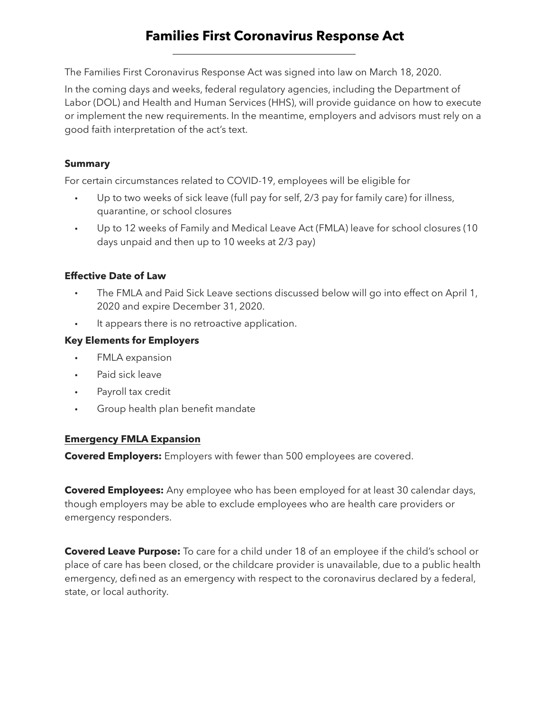# **Families First Coronavirus Response Act**

The Families First Coronavirus Response Act was signed into law on March 18, 2020.

In the coming days and weeks, federal regulatory agencies, including the Department of Labor (DOL) and Health and Human Services (HHS), will provide guidance on how to execute or implement the new requirements. In the meantime, employers and advisors must rely on a good faith interpretation of the act's text.

### **Summary**

For certain circumstances related to COVID-19, employees will be eligible for

- Up to two weeks of sick leave (full pay for self, 2/3 pay for family care) for illness, quarantine, or school closures
- Up to 12 weeks of Family and Medical Leave Act (FMLA) leave for school closures (10 days unpaid and then up to 10 weeks at 2/3 pay)

## **Effective Date of Law**

- The FMLA and Paid Sick Leave sections discussed below will go into effect on April 1, 2020 and expire December 31, 2020.
- It appears there is no retroactive application.

## **Key Elements for Employers**

- FMLA expansion
- Paid sick leave
- Payroll tax credit
- Group health plan benefit mandate

## **Emergency FMLA Expansion**

**Covered Employers:** Employers with fewer than 500 employees are covered.

**Covered Employees:** Any employee who has been employed for at least 30 calendar days, though employers may be able to exclude employees who are health care providers or emergency responders.

**Covered Leave Purpose:** To care for a child under 18 of an employee if the child's school or place of care has been closed, or the childcare provider is unavailable, due to a public health emergency, defined as an emergency with respect to the coronavirus declared by a federal, state, or local authority.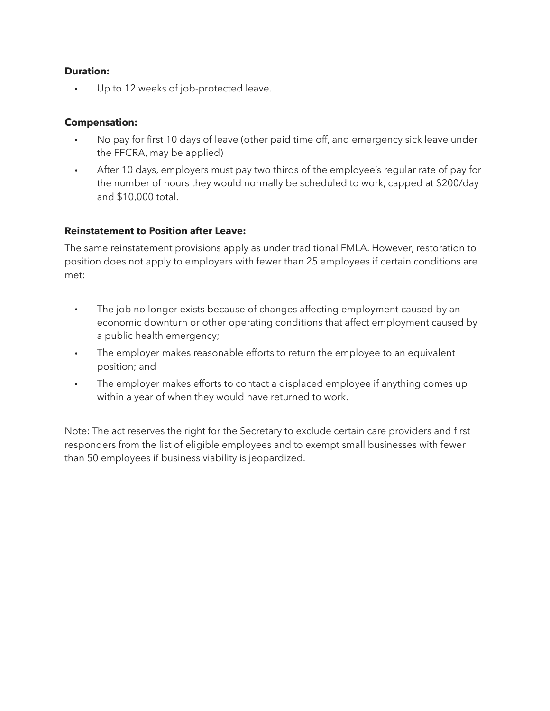#### **Duration:**

Up to 12 weeks of job-protected leave.

### **Compensation:**

- No pay for first 10 days of leave (other paid time off, and emergency sick leave under the FFCRA, may be applied)
- After 10 days, employers must pay two thirds of the employee's regular rate of pay for the number of hours they would normally be scheduled to work, capped at \$200/day and \$10,000 total.

#### **Reinstatement to Position after Leave:**

The same reinstatement provisions apply as under traditional FMLA. However, restoration to position does not apply to employers with fewer than 25 employees if certain conditions are met:

- The job no longer exists because of changes affecting employment caused by an economic downturn or other operating conditions that affect employment caused by a public health emergency;
- The employer makes reasonable efforts to return the employee to an equivalent position; and
- The employer makes efforts to contact a displaced employee if anything comes up within a year of when they would have returned to work.

Note: The act reserves the right for the Secretary to exclude certain care providers and first responders from the list of eligible employees and to exempt small businesses with fewer than 50 employees if business viability is jeopardized.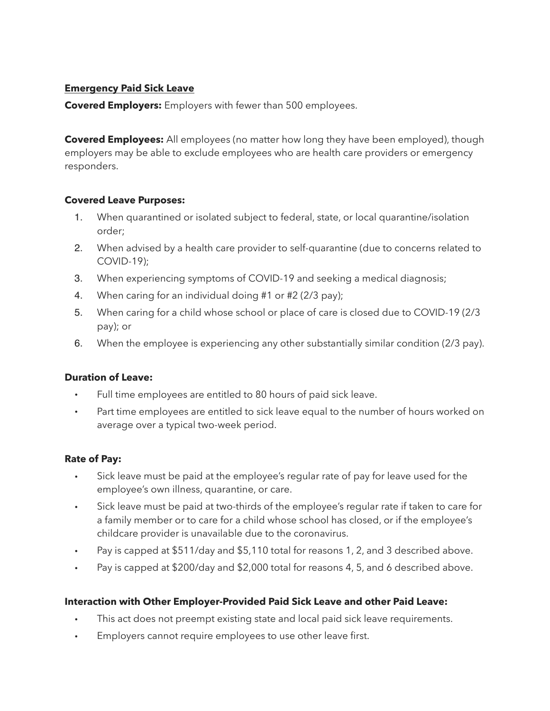## **Emergency Paid Sick Leave**

**Covered Employers:** Employers with fewer than 500 employees.

**Covered Employees:** All employees (no matter how long they have been employed), though employers may be able to exclude employees who are health care providers or emergency responders.

## **Covered Leave Purposes:**

- 1. When quarantined or isolated subject to federal, state, or local quarantine/isolation order;
- 2. When advised by a health care provider to self-quarantine (due to concerns related to COVID-19);
- 3. When experiencing symptoms of COVID-19 and seeking a medical diagnosis;
- 4. When caring for an individual doing #1 or #2 (2/3 pay);
- 5. When caring for a child whose school or place of care is closed due to COVID-19 (2/3 pay); or
- 6. When the employee is experiencing any other substantially similar condition (2/3 pay).

## **Duration of Leave:**

- Full time employees are entitled to 80 hours of paid sick leave.
- Part time employees are entitled to sick leave equal to the number of hours worked on average over a typical two-week period.

## **Rate of Pay:**

- Sick leave must be paid at the employee's regular rate of pay for leave used for the employee's own illness, quarantine, or care.
- Sick leave must be paid at two-thirds of the employee's regular rate if taken to care for a family member or to care for a child whose school has closed, or if the employee's childcare provider is unavailable due to the coronavirus.
- Pay is capped at \$511/day and \$5,110 total for reasons 1, 2, and 3 described above.
- Pay is capped at \$200/day and \$2,000 total for reasons 4, 5, and 6 described above.

# **Interaction with Other Employer-Provided Paid Sick Leave and other Paid Leave:**

- This act does not preempt existing state and local paid sick leave requirements.
- Employers cannot require employees to use other leave first.